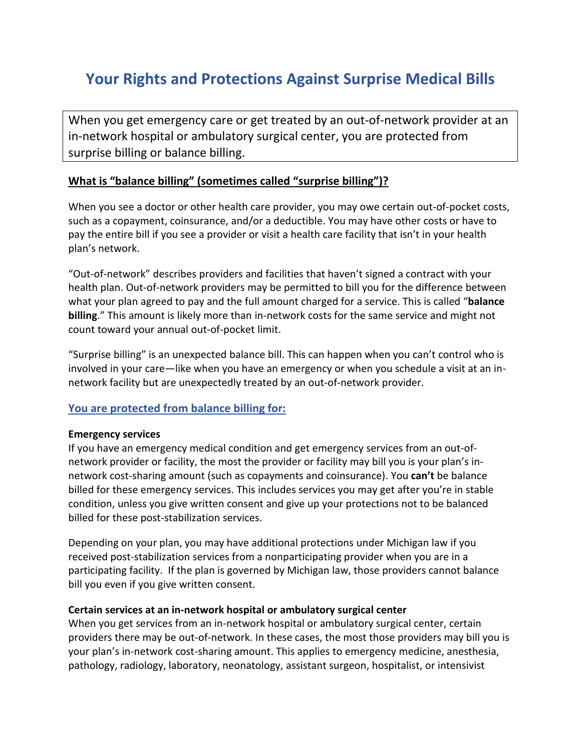# **Your Rights and Protections Against Surprise Medical Bills**

When you get emergency care or get treated by an out-of-network provider at an in-network hospital or ambulatory surgical center, you are protected from surprise billing or balance billing.

## **What is "balance billing" (sometimes called "surprise billing")?**

When you see a doctor or other health care provider, you may owe certain out-of-pocket costs, such as a copayment, coinsurance, and/or a deductible. You may have other costs or have to pay the entire bill if you see a provider or visit a health care facility that isn't in your health plan's network.

"Out-of-network" describes providers and facilities that haven't signed a contract with your health plan. Out-of-network providers may be permitted to bill you for the difference between what your plan agreed to pay and the full amount charged for a service. This is called "**balance billing**." This amount is likely more than in-network costs for the same service and might not count toward your annual out-of-pocket limit.

"Surprise billing" is an unexpected balance bill. This can happen when you can't control who is involved in your care—like when you have an emergency or when you schedule a visit at an innetwork facility but are unexpectedly treated by an out-of-network provider.

### **You are protected from balance billing for:**

#### **Emergency services**

If you have an emergency medical condition and get emergency services from an out-ofnetwork provider or facility, the most the provider or facility may bill you is your plan's innetwork cost-sharing amount (such as copayments and coinsurance). You **can't** be balance billed for these emergency services. This includes services you may get after you're in stable condition, unless you give written consent and give up your protections not to be balanced billed for these post-stabilization services.

Depending on your plan, you may have additional protections under Michigan law if you received post-stabilization services from a nonparticipating provider when you are in a participating facility. If the plan is governed by Michigan law, those providers cannot balance bill you even if you give written consent.

#### **Certain services at an in-network hospital or ambulatory surgical center**

When you get services from an in-network hospital or ambulatory surgical center, certain providers there may be out-of-network. In these cases, the most those providers may bill you is your plan's in-network cost-sharing amount. This applies to emergency medicine, anesthesia, pathology, radiology, laboratory, neonatology, assistant surgeon, hospitalist, or intensivist